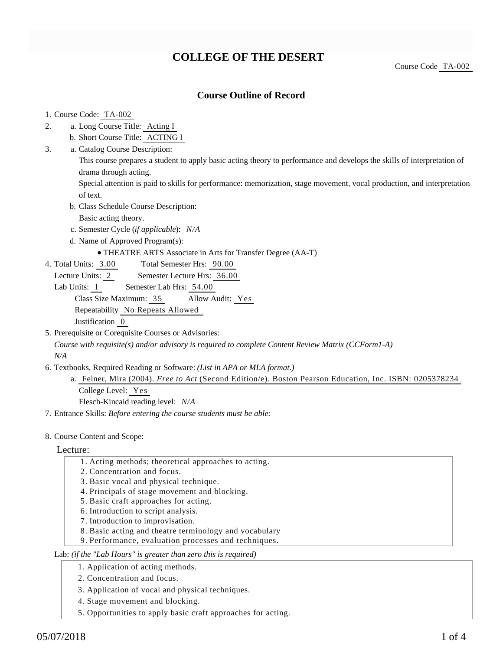# **COLLEGE OF THE DESERT**

Course Code TA-002

## **Course Outline of Record**

#### 1. Course Code: TA-002

a. Long Course Title: Acting I 2.

b. Short Course Title: ACTING I

Catalog Course Description: a. 3.

> This course prepares a student to apply basic acting theory to performance and develops the skills of interpretation of drama through acting.

Special attention is paid to skills for performance: memorization, stage movement, vocal production, and interpretation of text.

- b. Class Schedule Course Description:
	- Basic acting theory.
- c. Semester Cycle (*if applicable*): *N/A*
- d. Name of Approved Program(s):
	- THEATRE ARTS Associate in Arts for Transfer Degree (AA-T)
- Total Semester Hrs: 90.00 4. Total Units: 3.00
	- Lecture Units: 2 Semester Lecture Hrs: 36.00
	- Lab Units: 1 Semester Lab Hrs: 54.00

Class Size Maximum: 35 Allow Audit: Yes

Repeatability No Repeats Allowed

Justification 0

5. Prerequisite or Corequisite Courses or Advisories:

*Course with requisite(s) and/or advisory is required to complete Content Review Matrix (CCForm1-A) N/A*

- 6. Textbooks, Required Reading or Software: (List in APA or MLA format.)
	- Felner, Mira (2004). *Free to Act* (Second Edition/e). Boston Pearson Education, Inc. ISBN: 0205378234 a. College Level: Yes Flesch-Kincaid reading level: *N/A*
- 7. Entrance Skills: *Before entering the course students must be able:*
- 8. Course Content and Scope:

#### Lecture:

- 1. Acting methods; theoretical approaches to acting.
- 2. Concentration and focus.
- 3. Basic vocal and physical technique.
- 4. Principals of stage movement and blocking.
- 5. Basic craft approaches for acting.
- 6. Introduction to script analysis.
- 7. Introduction to improvisation.
- 8. Basic acting and theatre terminology and vocabulary
- 9. Performance, evaluation processes and techniques.

#### Lab: *(if the "Lab Hours" is greater than zero this is required)*

- 1. Application of acting methods.
- 2. Concentration and focus.
- 3. Application of vocal and physical techniques.
- 4. Stage movement and blocking.
- 5. Opportunities to apply basic craft approaches for acting.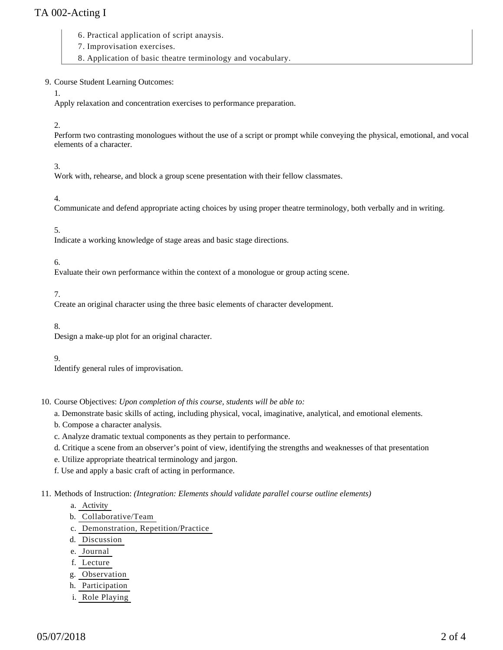# TA 002-Acting I

- 6. Practical application of script anaysis.
- 7. Improvisation exercises.
- 8. Application of basic theatre terminology and vocabulary.

### 9. Course Student Learning Outcomes:

#### 1.

Apply relaxation and concentration exercises to performance preparation.

#### 2.

Perform two contrasting monologues without the use of a script or prompt while conveying the physical, emotional, and vocal elements of a character.

## 3.

Work with, rehearse, and block a group scene presentation with their fellow classmates.

## 4.

Communicate and defend appropriate acting choices by using proper theatre terminology, both verbally and in writing.

### 5.

Indicate a working knowledge of stage areas and basic stage directions.

### 6.

Evaluate their own performance within the context of a monologue or group acting scene.

7.

Create an original character using the three basic elements of character development.

#### 8.

Design a make-up plot for an original character.

#### 9.

Identify general rules of improvisation.

10. Course Objectives: Upon completion of this course, students will be able to:

a. Demonstrate basic skills of acting, including physical, vocal, imaginative, analytical, and emotional elements.

- b. Compose a character analysis.
- c. Analyze dramatic textual components as they pertain to performance.
- d. Critique a scene from an observer's point of view, identifying the strengths and weaknesses of that presentation
- e. Utilize appropriate theatrical terminology and jargon.

f. Use and apply a basic craft of acting in performance.

#### 11. Methods of Instruction: *(Integration: Elements should validate parallel course outline elements)*

- a. Activity
- b. Collaborative/Team
- c. Demonstration, Repetition/Practice
- d. Discussion
- e. Journal
- f. Lecture
- g. Observation
- h. Participation
- i. Role Playing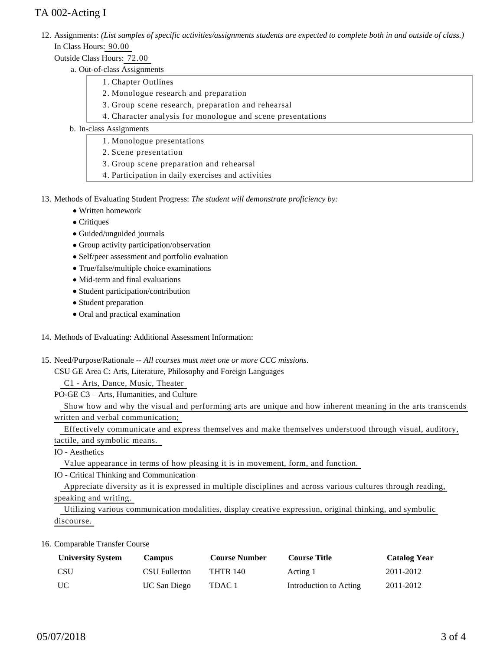# TA 002-Acting I

12. Assignments: (List samples of specific activities/assignments students are expected to complete both in and outside of class.) In Class Hours: 90.00

## Outside Class Hours: 72.00

- a. Out-of-class Assignments
	- 1. Chapter Outlines
	- 2. Monologue research and preparation
	- 3. Group scene research, preparation and rehearsal
	- 4. Character analysis for monologue and scene presentations

## b. In-class Assignments

- 1. Monologue presentations
- 2. Scene presentation
- 3. Group scene preparation and rehearsal
- 4. Participation in daily exercises and activities
- 13. Methods of Evaluating Student Progress: The student will demonstrate proficiency by:
	- Written homework
	- Critiques
	- Guided/unguided journals
	- Group activity participation/observation
	- Self/peer assessment and portfolio evaluation
	- True/false/multiple choice examinations
	- Mid-term and final evaluations
	- Student participation/contribution
	- Student preparation
	- Oral and practical examination
- 14. Methods of Evaluating: Additional Assessment Information:
- 15. Need/Purpose/Rationale -- All courses must meet one or more CCC missions.

CSU GE Area C: Arts, Literature, Philosophy and Foreign Languages

C1 - Arts, Dance, Music, Theater

PO-GE C3 – Arts, Humanities, and Culture

 Show how and why the visual and performing arts are unique and how inherent meaning in the arts transcends written and verbal communication;

Effectively communicate and express themselves and make themselves understood through visual, auditory,

tactile, and symbolic means.

IO - Aesthetics

Value appearance in terms of how pleasing it is in movement, form, and function.

IO - Critical Thinking and Communication

 Appreciate diversity as it is expressed in multiple disciplines and across various cultures through reading, speaking and writing.

 Utilizing various communication modalities, display creative expression, original thinking, and symbolic discourse.

16. Comparable Transfer Course

| <b>University System</b> | <b>Campus</b>       | <b>Course Number</b> | <b>Course Title</b>    | <b>Catalog Year</b> |
|--------------------------|---------------------|----------------------|------------------------|---------------------|
| <b>CSU</b>               | CSU Fullerton       | <b>THTR 140</b>      | Acting 1               | 2011-2012           |
| UC                       | <b>UC San Diego</b> | TDAC 1               | Introduction to Acting | 2011-2012           |